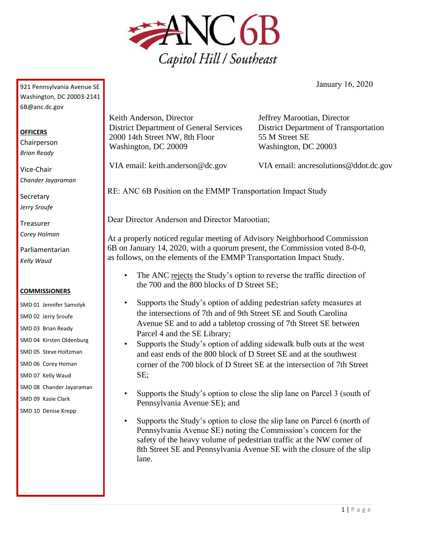

January 16, 2020

921 Pennsylvania Avenue SE Washington, DC 20003-2141 6B@anc.dc.gov

## **OFFICERS**

Chairperson *Brian Ready*

Vice-Chair *Chander Jayaraman*

**Secretary** *Jerry Sroufe*

Treasurer *Corey Holman*

Parliamentarian *Kelly Waud*

## **COMMISSIONERS**

- SMD 01 Jennifer Samolyk SMD 02 Jerry Sroufe
- SMD 03 Brian Ready
- SMD 04 Kirsten Oldenburg
- SMD 05 Steve Holtzman
- SMD 06 Corey Homan
- SMD 07 Kelly Waud
- SMD 08 Chander Jayaraman
- SMD 09 Kasie Clark
- SMD 10 Denise Krepp

Keith Anderson, Director District Department of General Services 2000 14th Street NW, 8th Floor Washington, DC 20009

Jeffrey Marootian, Director District Department of Transportation 55 M Street SE Washington, DC 20003

VIA email: keith.anderson@dc.gov

VIA email: ancresolutions@ddot.dc.gov

RE: ANC 6B Position on the EMMP Transportation Impact Study

Dear Director Anderson and Director Marootian;

At a properly noticed regular meeting of Advisory Neighborhood Commission 6B on January 14, 2020, with a quorum present, the Commission voted 8-0-0, as follows, on the elements of the EMMP Transportation Impact Study.

- The ANC rejects the Study's option to reverse the traffic direction of the 700 and the 800 blocks of D Street SE;
- Supports the Study's option of adding pedestrian safety measures at the intersections of 7th and of 9th Street SE and South Carolina Avenue SE and to add a tabletop crossing of 7th Street SE between Parcel 4 and the SE Library;
- Supports the Study's option of adding sidewalk bulb outs at the west and east ends of the 800 block of D Street SE and at the southwest corner of the 700 block of D Street SE at the intersection of 7th Street SE;
- Supports the Study's option to close the slip lane on Parcel 3 (south of Pennsylvania Avenue SE); and
- Supports the Study's option to close the slip lane on Parcel 6 (north of Pennsylvania Avenue SE) noting the Commission's concern for the safety of the heavy volume of pedestrian traffic at the NW corner of 8th Street SE and Pennsylvania Avenue SE with the closure of the slip lane.